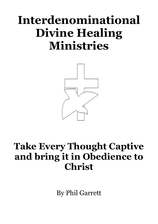# **Interdenominational Divine Healing Ministries**



## **Take Every Thought Captive and bring it in Obedience to Christ**

By Phil Garrett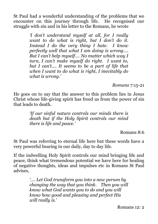St Paul had a wonderful understanding of the problems that we encounter on this journey through life. He recognised our struggle with sin and in his letter to the Romans, he wrote

> *'I don't understand myself at all, for I really want to do what is right, but I don't do it. Instead I do the very thing I hate. I know perfectly well that what I am doing is wrong…. But I can't help myself…. No matter which way I turn, I can't make myself do right. I want to, but I can't…. It seems to be a part of life that when I want to do what is right, I inevitably do what is wrong.'*

> > *Romans* 7:15-21

He goes on to say that the answer to this problem lies in Jesus Christ whose life-giving spirit has freed us from the power of sin that leads to death.

> *'If our sinful nature controls our minds there is death but if the Holy Spirit controls our mind there is life and peace.'*

> > Romans 8:6

St Paul was referring to eternal life here but these words have a very powerful bearing in our daily, day to day life.

If the indwelling Holy Spirit controls our mind bringing life and peace, think what tremendous potential we have here for healing of negative thoughts, ideas and impulses etc in Romans St Paul advises,

> *'…. Let God transform you into a new person by changing the way that you think. Then you will know what God wants you to do and you will know how good and pleasing and perfect His will really is.'*

> > Romans 12: 2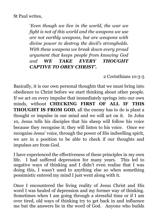'*Even though we live in the world, the war we fight is not of this world and the weapons we use are not earthly weapons, but are weapons with divine power to destroy the devil's strongholds. With these weapons we break down every proud argument that keeps people from knowing God and WE TAKE EVERY THOUGHT CAPTIVE TO OBEY CHRIST'.*

2 Corinthians 10:3-5

Basically, it is our own personal thoughts that we must bring into obedience to Christ before we start thinking about other people. If we act on every impulse that immediately springs into our own minds, without **CHECKING FIRST OF ALL IF THIS THOUGHT IS FROM GOD**, all the enemy has to do is plant a thought or impulse in our mind and we will act on it. In John 10, Jesus tells his disciples that his sheep will follow his voice because they recognise it; they will listen to his voice. Once we recognise Jesus' voice, through the power of His indwelling spirit, we are in a position to be able to check if our thoughts and impulses are from God.

I have experienced the effectiveness of these principles in my own life. I had suffered depression for many years. This led to negative ways of thinking and I didn't even realise that I was doing this, I wasn't used to anything else so when something pessimistic entered my mind I just went along with it.

Once I encountered the living reality of Jesus Christ and His word I was healed of depression and my former way of thinking. Sometimes when I am going through a stressful time or if I am over tired, old ways of thinking try to get back in and influence me but the answers lie in the word of God. Anyone who builds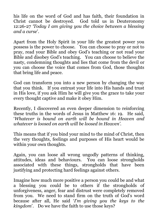his life on the word of God and has faith, their foundation in Christ cannot be destroyed. God told us in Deuteronomy 12:26-27 *'Today I am giving you the choice between a blessing and a curse*'.

Apart from the Holy Spirit in your life the greatest power you possess is the power to choose. You can choose to pray or not to pray, read your Bible and obey God's teaching or not read your Bible and disobey God's teaching. You can choose to believe the nasty, condemning thoughts and lies that come from the devil or you can choose the voice that comes from God, those thoughts that bring life and peace.

God can transform you into a new person by changing the way that you think. If you entrust your life into His hands and trust in His love, if you ask Him he will give you the grace to take your every thought captive and make it obey Him.

Recently, I discovered an even deeper dimension to reinforcing these truths in the words of Jesus in Matthew 16: 19. He said, '*Whatever is bound on earth will be bound in Heaven and whatever is loosed on earth will be loosed in Heaven'.* 

This means that if you bind your mind to the mind of Christ, then the very thoughts, feelings and purposes of His heart would be within your own thoughts.

Again, you can loose all wrong ungodly patterns of thinking, attitudes, ideas and behaviours. You can loose strongholds associated with these things, strongholds that have been justifying and protecting hard feelings against others.

Imagine how much more positive a person you could be and what a blessing you could be to others if the strongholds of unforgiveness, anger, fear and distrust were completely removed from you. We need to stand firm on the truth of God's word because after all, He said '*I'm giving you the keys to the kingdom*'. Do we have the faith to use those keys?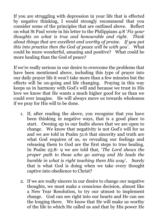If you are struggling with depression in your life that is effected by negative thinking, I would strongly recommend that you consider some of the principles that are outlined above. Reflect on what St Paul wrote in his letter to the Philippians 4:8 '*Fix your thoughts on what is true and honourable and right. Think about things that are excellent and worthy of praise. If you put this into practice then the God of peace will be with you*'. What could be more wonderful, amazing and positive? What could be more healing than the God of peace?

If we're really serious in our desire to overcome the problems that have been mentioned above, including this type of prayer into our daily prayer life it won't take more than a few minutes but the effects will be on-going and life changing. Praying in this way keeps us in harmony with God's will and because we trust in His love we know that He wants a much higher good for us than we could ever imagine. He will always move us towards wholeness if we pray for His will to be done.

- 1. If, after reading the above, you recognize that you have been thinking in negative ways, that is a good place to start. Owning up to our faults shows that we are open to change. We know that negativity is not God's will for us and we are told in Psalm 51:6 that sincerity and truth are what God requires of us, so revealing our feelings and releasing them to God are the first steps to true healing. In Psalm 25:8- 9 we are told that, '*The Lord shows the proper path to those who go astray and He leads the humble in what is right teaching them His way'.* Surely that is what God is doing when we take every thought captive into obedience to Christ?
- 2. If we are really sincere in our desire to change our negative thoughts, we must make a conscious decision, almost like a New Year Resolution, to try our utmost to implement change. God can see right into our hearts and He can see the longing there. We know that He will make us worthy of the life to which He called us and that by His power He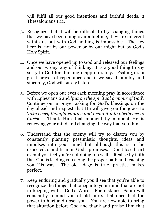will fulfil all our good intentions and faithful deeds, 2 Thessalonians 1:11.

- 3. Recognize that it will be difficult to try changing things that we have been doing over a lifetime, they are inherent within us but with God nothing is impossible. The key here is, not by our power or by our might but by God's Holy Spirit.
- 4. Once we have opened up to God and released our feelings and our wrong way of thinking, it is a good thing to say sorry to God for thinking inappropriately. Psalm 51 is a great prayer of repentance and if we say it humbly and sincerely, God will surely listen.
- 5. Before we open our eyes each morning pray in accordance with Ephesians 6 and '*put on the spiritual armour of God*'. Continue on in prayer asking for God's blessings on the day ahead and request that He will give you the grace to '*take every thought captive and bring it into obedience to Christ*'. Thank Him that moment by moment He is renewing your mind and changing the way that you think.
- 6. Understand that the enemy will try to disarm you by constantly planting pessimistic thoughts, ideas and impulses into your mind but although this is to be expected, stand firm on God's promises. Don't lose heart even if you feel you're not doing too well. Realise by faith that God is leading you along the proper path and teaching you His way. The old adage is true, practice makes perfect.
- 7. Keep enduring and gradually you'll see that you're able to recognize the things that creep into your mind that are not in keeping with. God's Word. For instance, Satan will constantly remind you of old hurts that once had the power to hurt and upset you. You are now able to bring that situation before God and thank and praise Him that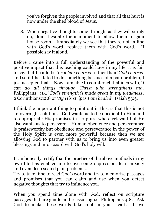you've forgiven the people involved and that all that hurt is now under the shed blood of Jesus.

8. When negative thoughts come through, as they will surely do, don't hesitate for a moment to allow them to gain house room. Immediately we see that they're not in line with God's word, replace them with God's word. If possible say it aloud.

Before I came into a full understanding of the powerful and positive impact that this teaching could have in my life, it is fair to say that I could be '*problem centred*' rather than '*God centred*' and so if I hesitated to do something because of a pain problem, I just accepted that. Now I am able to counteract that idea with, '*I can do all things through Christ who strengthens me'*, Philippians 4:13. '*God's strength is made great in my weakness',*  2 Corinthians:12:8 or '*By His stripes I am healed*', Isaiah 53:5.

I think the important thing to point out in this, is that this is not an overnight solution. God wants us to be obedient to Him and to appropriate His promises in scripture where relevant but He also wants us to persevere. Human obedience and perseverance is praiseworthy but obedience and perseverance in the power of the Holy Spirit is even more powerful because then we are allowing God to partner with us to bring us into even greater blessings and into accord with God's holy will.

I can honestly testify that the practice of the above methods in my own life has enabled me to overcome depression, fear, anxiety and even deep seated pain problems.

Try to take time to read God's word and try to memorize passages and promises that you can claim and use when you detect negative thoughts that try to influence you.

When you spend time alone with God, reflect on scripture passages that are gentle and reassuring i.e. Philippians 4:8. Ask God to make these words take root in your heart. If we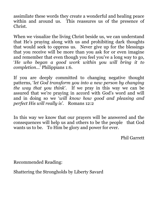assimilate these words they create a wonderful and healing peace within and around us. This reassures us of the presence of Christ.

When we visualize the living Christ beside us, we can understand that He's praying along with us and prohibiting dark thoughts that would seek to oppress us. Never give up for the blessings that you receive will be more than you ask for or even imagine and remember that even though you feel you've a long way to go, '*He who began a good work within you will bring it to completion*…' Philippians 1:6.

If you are deeply committed to changing negative thought patterns, '*let God transform you into a new person by changing the way that you think*'. If we pray in this way we can be assured that we're praying in accord with God's word and will and in doing so we '*will know how good and pleasing and perfect His will really is'.* Romans 12:2

In this way we know that our prayers will be answered and the consequences will help us and others to be the people that God wants us to be. To Him be glory and power for ever.

Phil Garrett

Recommended Reading:

Shattering the Strongholds by Liberty Savard